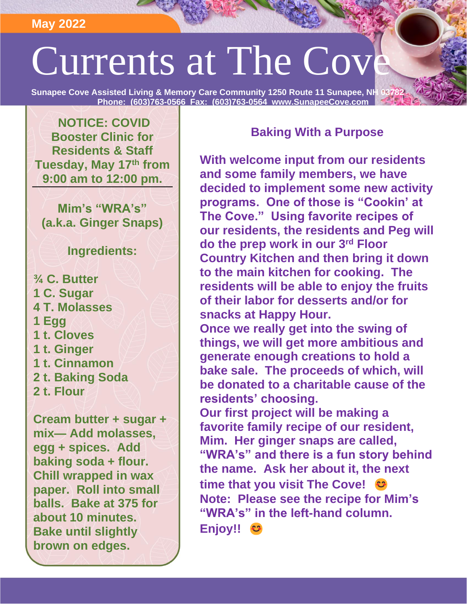**May 2022**

## Currents at The Cov

**Sunapee Cove Assisted Living & Memory Care Community 1250 Route 11 Sunapee, NH ( Phone: (603)763-0566 Fax: (603)763-0564 www.SunapeeCove.com**

**NOTICE: COVID Booster Clinic for Residents & Staff Tuesday, May 17th from 9:00 am to 12:00 pm.** 

**Mim's "WRA's" (a.k.a. Ginger Snaps)**

## **Ingredients:**

**¾ C. Butter 1 C. Sugar 4 T. Molasses 1 Egg 1 t. Cloves 1 t. Ginger 1 t. Cinnamon 2 t. Baking Soda 2 t. Flour**

**Cream butter + sugar + mix— Add molasses, egg + spices. Add baking soda + flour. Chill wrapped in wax paper. Roll into small balls. Bake at 375 for about 10 minutes. Bake until slightly brown on edges.**

## **Baking With a Purpose**

**With welcome input from our residents and some family members, we have decided to implement some new activity programs. One of those is "Cookin' at The Cove." Using favorite recipes of our residents, the residents and Peg will do the prep work in our 3rd Floor Country Kitchen and then bring it down to the main kitchen for cooking. The residents will be able to enjoy the fruits of their labor for desserts and/or for snacks at Happy Hour. Once we really get into the swing of things, we will get more ambitious and** 

**generate enough creations to hold a bake sale. The proceeds of which, will be donated to a charitable cause of the residents' choosing.** 

**Our first project will be making a favorite family recipe of our resident, Mim. Her ginger snaps are called, "WRA's" and there is a fun story behind the name. Ask her about it, the next time that you visit The Cove! Note: Please see the recipe for Mim's "WRA's" in the left-hand column. Enjoy!!**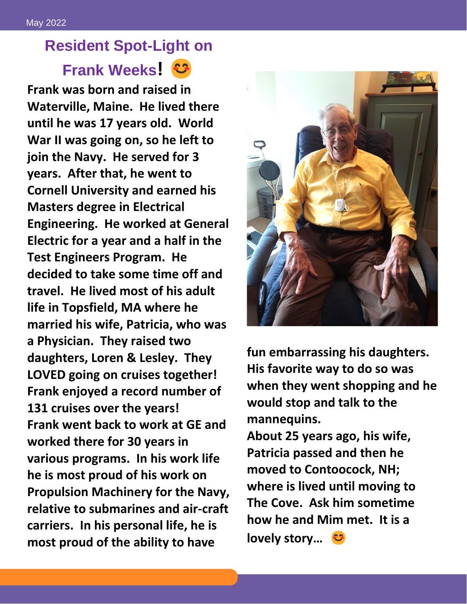## **Resident Spot-Light on Frank Weeks!**

**Frank was born and raised in Waterville, Maine. He lived there until he was 17 years old. World War II was going on, so he left to join the Navy. He served for 3 years. After that, he went to Cornell University and earned his Masters degree in Electrical Engineering. He worked at General Electric for a year and a half in the Test Engineers Program. He decided to take some time off and travel. He lived most of his adult life in Topsfield, MA where he married his wife, Patricia, who was a Physician. They raised two daughters, Loren & Lesley. They LOVED going on cruises together! Frank enjoyed a record number of 131 cruises over the years! Frank went back to work at GE and worked there for 30 years in various programs. In his work life he is most proud of his work on Propulsion Machinery for the Navy, relative to submarines and air-craft carriers. In his personal life, he is most proud of the ability to have**



**fun embarrassing his daughters. His favorite way to do so was when they went shopping and he would stop and talk to the mannequins.** 

**About 25 years ago, his wife, Patricia passed and then he moved to Contoocock, NH; where is lived until moving to The Cove. Ask him sometime how he and Mim met. It is a lovely story…**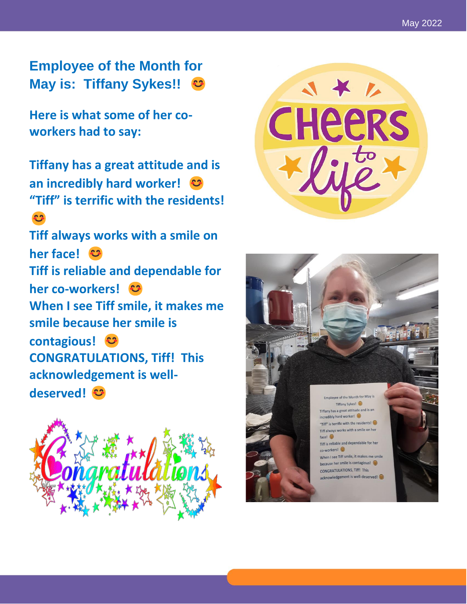**Employee of the Month for May is: Tiffany Sykes!!** 

**Here is what some of her co workers had to say:** 

**Tiffany has a great attitude and is an incredibly hard worker! "Tiff" is terrific with the residents!**  3

**Tiff always works with a smile on her face! Tiff is reliable and dependable for her co -workers! When I see Tiff smile, it makes me smile because her smile is contagious! CONGRATULATIONS, Tiff! This acknowledgement is well deserved!**